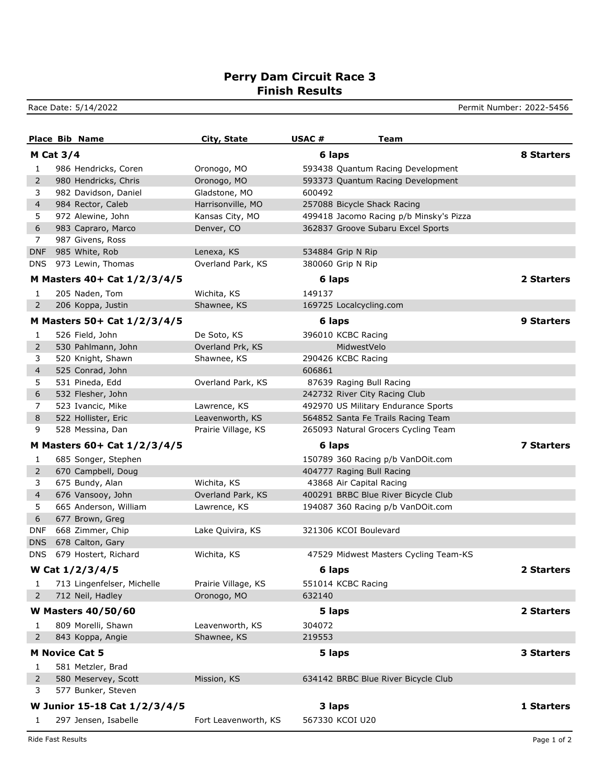## **Perry Dam Circuit Race 3 Finish Results**

Race Date: 5/14/2022 **Permit Number: 2022-5456** 

|            | <b>Place Bib Name</b>        | <b>City, State</b>   | USAC#<br>Team                           |                   |
|------------|------------------------------|----------------------|-----------------------------------------|-------------------|
|            | <b>M Cat 3/4</b>             |                      | 6 laps                                  | <b>8 Starters</b> |
| 1          | 986 Hendricks, Coren         | Oronogo, MO          | 593438 Quantum Racing Development       |                   |
| 2          | 980 Hendricks, Chris         | Oronogo, MO          | 593373 Quantum Racing Development       |                   |
| 3          | 982 Davidson, Daniel         | Gladstone, MO        | 600492                                  |                   |
| 4          | 984 Rector, Caleb            | Harrisonville, MO    | 257088 Bicycle Shack Racing             |                   |
| 5          | 972 Alewine, John            | Kansas City, MO      | 499418 Jacomo Racing p/b Minsky's Pizza |                   |
| 6          | 983 Capraro, Marco           | Denver, CO           | 362837 Groove Subaru Excel Sports       |                   |
| 7          | 987 Givens, Ross             |                      |                                         |                   |
| <b>DNF</b> | 985 White, Rob               | Lenexa, KS           | 534884 Grip N Rip                       |                   |
| <b>DNS</b> | 973 Lewin, Thomas            | Overland Park, KS    | 380060 Grip N Rip                       |                   |
|            | M Masters 40+ Cat 1/2/3/4/5  |                      | 6 laps                                  | 2 Starters        |
| 1          | 205 Naden, Tom               | Wichita, KS          | 149137                                  |                   |
| 2          | 206 Koppa, Justin            | Shawnee, KS          | 169725 Localcycling.com                 |                   |
|            | M Masters 50+ Cat 1/2/3/4/5  |                      | 6 laps                                  | <b>9 Starters</b> |
|            |                              |                      |                                         |                   |
| 1          | 526 Field, John              | De Soto, KS          | 396010 KCBC Racing                      |                   |
| 2          | 530 Pahlmann, John           | Overland Prk, KS     | MidwestVelo                             |                   |
| 3          | 520 Knight, Shawn            | Shawnee, KS          | 290426 KCBC Racing                      |                   |
| 4          | 525 Conrad, John             |                      | 606861                                  |                   |
| 5          | 531 Pineda, Edd              | Overland Park, KS    | 87639 Raging Bull Racing                |                   |
| 6          | 532 Flesher, John            |                      | 242732 River City Racing Club           |                   |
| 7          | 523 Ivancic, Mike            | Lawrence, KS         | 492970 US Military Endurance Sports     |                   |
| 8          | 522 Hollister, Eric          | Leavenworth, KS      | 564852 Santa Fe Trails Racing Team      |                   |
| 9          | 528 Messina, Dan             | Prairie Village, KS  | 265093 Natural Grocers Cycling Team     |                   |
|            | M Masters 60+ Cat 1/2/3/4/5  |                      | 6 laps                                  | 7 Starters        |
| 1          | 685 Songer, Stephen          |                      | 150789 360 Racing p/b VanDOit.com       |                   |
| 2          | 670 Campbell, Doug           |                      | 404777 Raging Bull Racing               |                   |
| 3          | 675 Bundy, Alan              | Wichita, KS          | 43868 Air Capital Racing                |                   |
| 4          | 676 Vansooy, John            | Overland Park, KS    | 400291 BRBC Blue River Bicycle Club     |                   |
| 5          | 665 Anderson, William        | Lawrence, KS         | 194087 360 Racing p/b VanDOit.com       |                   |
| 6          | 677 Brown, Greg              |                      |                                         |                   |
| <b>DNF</b> | 668 Zimmer, Chip             | Lake Quivira, KS     | 321306 KCOI Boulevard                   |                   |
| <b>DNS</b> | 678 Calton, Gary             |                      |                                         |                   |
| <b>DNS</b> | 679 Hostert, Richard         | Wichita, KS          | 47529 Midwest Masters Cycling Team-KS   |                   |
|            | W Cat 1/2/3/4/5              |                      | 6 laps                                  | 2 Starters        |
| 1          | 713 Lingenfelser, Michelle   | Prairie Village, KS  | 551014 KCBC Racing                      |                   |
| 2          | 712 Neil, Hadley             | Oronogo, MO          | 632140                                  |                   |
|            | <b>W Masters 40/50/60</b>    |                      | 5 laps                                  | 2 Starters        |
| 1          | 809 Morelli, Shawn           | Leavenworth, KS      | 304072                                  |                   |
| 2          | 843 Koppa, Angie             | Shawnee, KS          | 219553                                  |                   |
|            | <b>M Novice Cat 5</b>        |                      | 5 laps                                  | 3 Starters        |
| 1          | 581 Metzler, Brad            |                      |                                         |                   |
| 2          | 580 Meservey, Scott          | Mission, KS          | 634142 BRBC Blue River Bicycle Club     |                   |
| 3          | 577 Bunker, Steven           |                      |                                         |                   |
|            |                              |                      |                                         |                   |
|            | W Junior 15-18 Cat 1/2/3/4/5 |                      | 3 laps                                  | 1 Starters        |
| 1          | 297 Jensen, Isabelle         | Fort Leavenworth, KS | 567330 KCOI U20                         |                   |